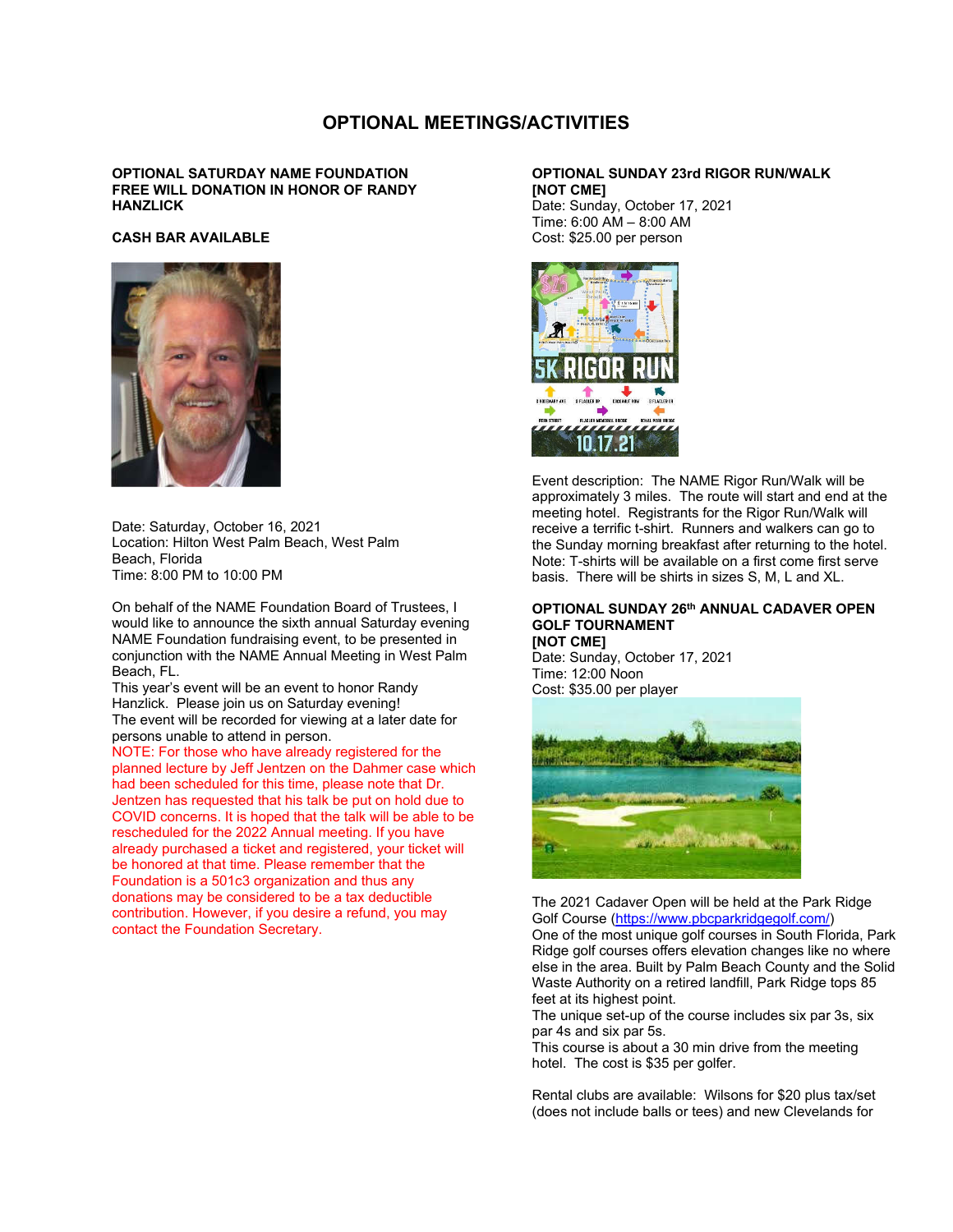# **OPTIONAL MEETINGS/ACTIVITIES**

## **OPTIONAL SATURDAY NAME FOUNDATION FREE WILL DONATION IN HONOR OF RANDY HANZLICK**

#### **CASH BAR AVAILABLE**



Date: Saturday, October 16, 2021 Location: Hilton West Palm Beach, West Palm Beach, Florida Time: 8:00 PM to 10:00 PM

On behalf of the NAME Foundation Board of Trustees, I would like to announce the sixth annual Saturday evening NAME Foundation fundraising event, to be presented in conjunction with the NAME Annual Meeting in West Palm Beach, FL.

This year's event will be an event to honor Randy Hanzlick. Please join us on Saturday evening! The event will be recorded for viewing at a later date for persons unable to attend in person.

NOTE: For those who have already registered for the planned lecture by Jeff Jentzen on the Dahmer case which had been scheduled for this time, please note that Dr. Jentzen has requested that his talk be put on hold due to COVID concerns. It is hoped that the talk will be able to be rescheduled for the 2022 Annual meeting. If you have already purchased a ticket and registered, your ticket will be honored at that time. Please remember that the Foundation is a 501c3 organization and thus any donations may be considered to be a tax deductible contribution. However, if you desire a refund, you may contact the Foundation Secretary.

## **OPTIONAL SUNDAY 23rd RIGOR RUN/WALK [NOT CME]**

Date: Sunday, October 17, 2021 Time: 6:00 AM – 8:00 AM Cost: \$25.00 per person



Event description: The NAME Rigor Run/Walk will be approximately 3 miles. The route will start and end at the meeting hotel. Registrants for the Rigor Run/Walk will receive a terrific t-shirt. Runners and walkers can go to the Sunday morning breakfast after returning to the hotel. Note: T-shirts will be available on a first come first serve basis. There will be shirts in sizes S, M, L and XL.

#### **OPTIONAL SUNDAY 26th ANNUAL CADAVER OPEN GOLF TOURNAMENT [NOT CME]**

Date: Sunday, October 17, 2021 Time: 12:00 Noon Cost: \$35.00 per player



The 2021 Cadaver Open will be held at the Park Ridge Golf Course (https://www.pbcparkridgegolf.com/) One of the most unique golf courses in South Florida, Park Ridge golf courses offers elevation changes like no where else in the area. Built by Palm Beach County and the Solid Waste Authority on a retired landfill, Park Ridge tops 85 feet at its highest point.

The unique set-up of the course includes six par 3s, six par 4s and six par 5s.

This course is about a 30 min drive from the meeting hotel. The cost is \$35 per golfer.

Rental clubs are available: Wilsons for \$20 plus tax/set (does not include balls or tees) and new Clevelands for